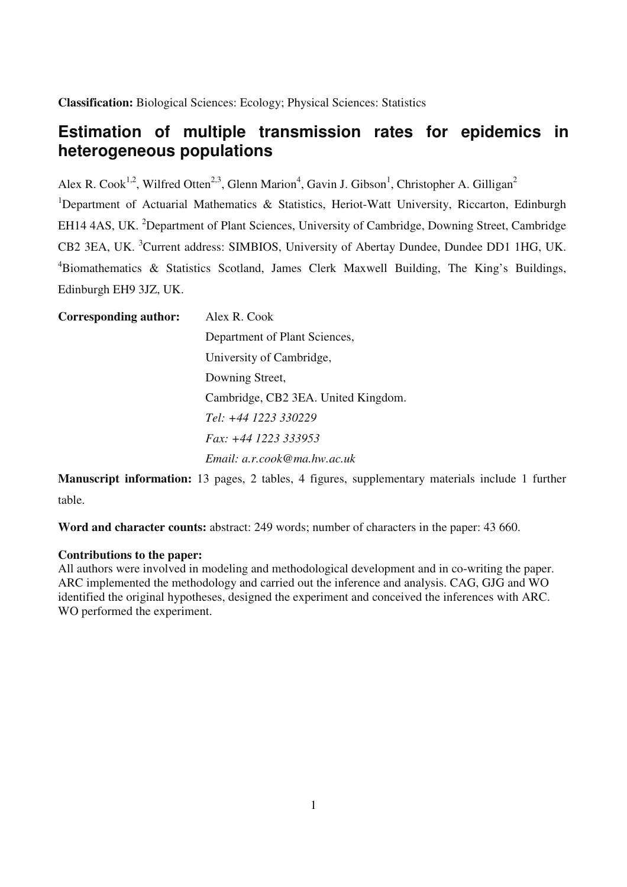**Classification:** Biological Sciences: Ecology; Physical Sciences: Statistics

# **Estimation of multiple transmission rates for epidemics in heterogeneous populations**

Alex R. Cook<sup>1,2</sup>, Wilfred Otten<sup>2,3</sup>, Glenn Marion<sup>4</sup>, Gavin J. Gibson<sup>1</sup>, Christopher A. Gilligan<sup>2</sup> <sup>1</sup>Department of Actuarial Mathematics & Statistics, Heriot-Watt University, Riccarton, Edinburgh EH14 4AS, UK. <sup>2</sup>Department of Plant Sciences, University of Cambridge, Downing Street, Cambridge CB2 3EA, UK. <sup>3</sup>Current address: SIMBIOS, University of Abertay Dundee, Dundee DD1 1HG, UK. <sup>4</sup>Biomathematics & Statistics Scotland, James Clerk Maxwell Building, The King's Buildings, Edinburgh EH9 3JZ, UK.

| <b>Corresponding author:</b> | Alex R. Cook                        |  |
|------------------------------|-------------------------------------|--|
|                              | Department of Plant Sciences,       |  |
|                              | University of Cambridge,            |  |
|                              | Downing Street,                     |  |
|                              | Cambridge, CB2 3EA. United Kingdom. |  |
|                              | Tel: +44 1223 330229                |  |
|                              | Fax: +44 1223 333953                |  |
|                              | Email: $a.r.cook@ma.hw.ac.uk$       |  |

**Manuscript information:** 13 pages, 2 tables, 4 figures, supplementary materials include 1 further table.

Word and character counts: abstract: 249 words; number of characters in the paper: 43 660.

# **Contributions to the paper:**

All authors were involved in modeling and methodological development and in co-writing the paper. ARC implemented the methodology and carried out the inference and analysis. CAG, GJG and WO identified the original hypotheses, designed the experiment and conceived the inferences with ARC. WO performed the experiment.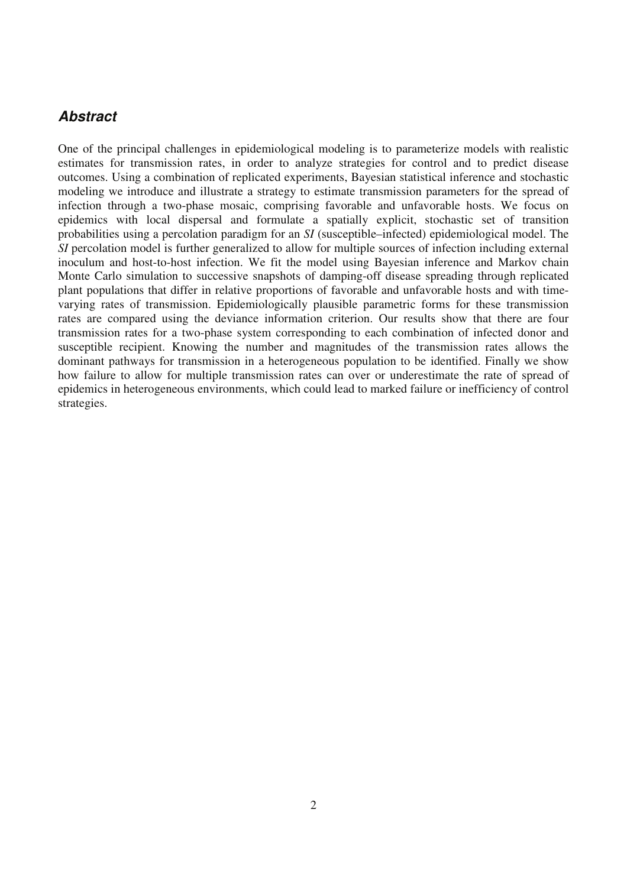# **Abstract**

One of the principal challenges in epidemiological modeling is to parameterize models with realistic estimates for transmission rates, in order to analyze strategies for control and to predict disease outcomes. Using a combination of replicated experiments, Bayesian statistical inference and stochastic modeling we introduce and illustrate a strategy to estimate transmission parameters for the spread of infection through a two-phase mosaic, comprising favorable and unfavorable hosts. We focus on epidemics with local dispersal and formulate a spatially explicit, stochastic set of transition probabilities using a percolation paradigm for an *SI* (susceptible–infected) epidemiological model. The *SI* percolation model is further generalized to allow for multiple sources of infection including external inoculum and host-to-host infection. We fit the model using Bayesian inference and Markov chain Monte Carlo simulation to successive snapshots of damping-off disease spreading through replicated plant populations that differ in relative proportions of favorable and unfavorable hosts and with timevarying rates of transmission. Epidemiologically plausible parametric forms for these transmission rates are compared using the deviance information criterion. Our results show that there are four transmission rates for a two-phase system corresponding to each combination of infected donor and susceptible recipient. Knowing the number and magnitudes of the transmission rates allows the dominant pathways for transmission in a heterogeneous population to be identified. Finally we show how failure to allow for multiple transmission rates can over or underestimate the rate of spread of epidemics in heterogeneous environments, which could lead to marked failure or inefficiency of control strategies.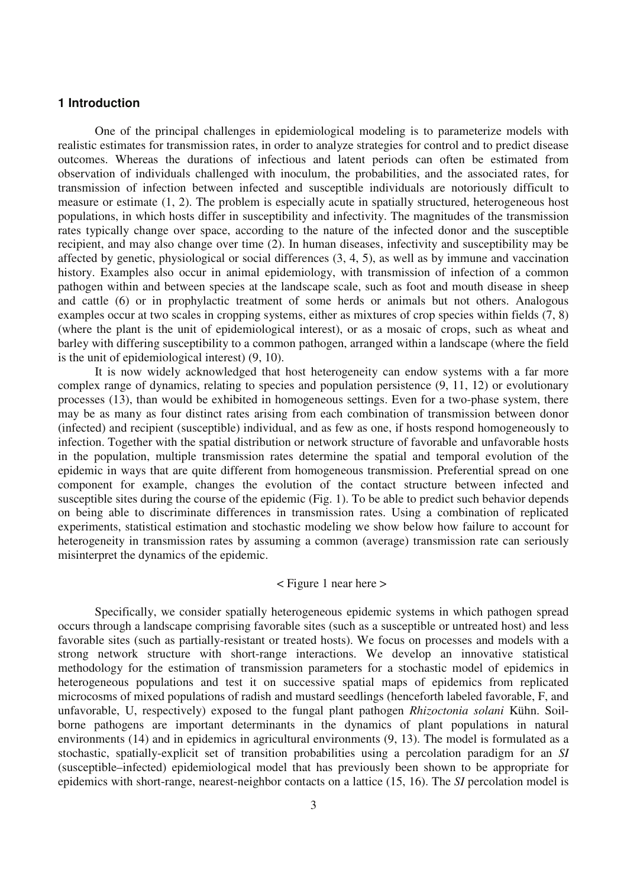# **1 Introduction**

One of the principal challenges in epidemiological modeling is to parameterize models with realistic estimates for transmission rates, in order to analyze strategies for control and to predict disease outcomes. Whereas the durations of infectious and latent periods can often be estimated from observation of individuals challenged with inoculum, the probabilities, and the associated rates, for transmission of infection between infected and susceptible individuals are notoriously difficult to measure or estimate (1, 2). The problem is especially acute in spatially structured, heterogeneous host populations, in which hosts differ in susceptibility and infectivity. The magnitudes of the transmission rates typically change over space, according to the nature of the infected donor and the susceptible recipient, and may also change over time (2). In human diseases, infectivity and susceptibility may be affected by genetic, physiological or social differences (3, 4, 5), as well as by immune and vaccination history. Examples also occur in animal epidemiology, with transmission of infection of a common pathogen within and between species at the landscape scale, such as foot and mouth disease in sheep and cattle (6) or in prophylactic treatment of some herds or animals but not others. Analogous examples occur at two scales in cropping systems, either as mixtures of crop species within fields (7, 8) (where the plant is the unit of epidemiological interest), or as a mosaic of crops, such as wheat and barley with differing susceptibility to a common pathogen, arranged within a landscape (where the field is the unit of epidemiological interest) (9, 10).

It is now widely acknowledged that host heterogeneity can endow systems with a far more complex range of dynamics, relating to species and population persistence (9, 11, 12) or evolutionary processes (13), than would be exhibited in homogeneous settings. Even for a two-phase system, there may be as many as four distinct rates arising from each combination of transmission between donor (infected) and recipient (susceptible) individual, and as few as one, if hosts respond homogeneously to infection. Together with the spatial distribution or network structure of favorable and unfavorable hosts in the population, multiple transmission rates determine the spatial and temporal evolution of the epidemic in ways that are quite different from homogeneous transmission. Preferential spread on one component for example, changes the evolution of the contact structure between infected and susceptible sites during the course of the epidemic (Fig. 1). To be able to predict such behavior depends on being able to discriminate differences in transmission rates. Using a combination of replicated experiments, statistical estimation and stochastic modeling we show below how failure to account for heterogeneity in transmission rates by assuming a common (average) transmission rate can seriously misinterpret the dynamics of the epidemic.

### < Figure 1 near here >

Specifically, we consider spatially heterogeneous epidemic systems in which pathogen spread occurs through a landscape comprising favorable sites (such as a susceptible or untreated host) and less favorable sites (such as partially-resistant or treated hosts). We focus on processes and models with a strong network structure with short-range interactions. We develop an innovative statistical methodology for the estimation of transmission parameters for a stochastic model of epidemics in heterogeneous populations and test it on successive spatial maps of epidemics from replicated microcosms of mixed populations of radish and mustard seedlings (henceforth labeled favorable, F, and unfavorable, U, respectively) exposed to the fungal plant pathogen *Rhizoctonia solani* Kühn. Soilborne pathogens are important determinants in the dynamics of plant populations in natural environments (14) and in epidemics in agricultural environments (9, 13). The model is formulated as a stochastic, spatially-explicit set of transition probabilities using a percolation paradigm for an *SI* (susceptible–infected) epidemiological model that has previously been shown to be appropriate for epidemics with short-range, nearest-neighbor contacts on a lattice (15, 16). The *SI* percolation model is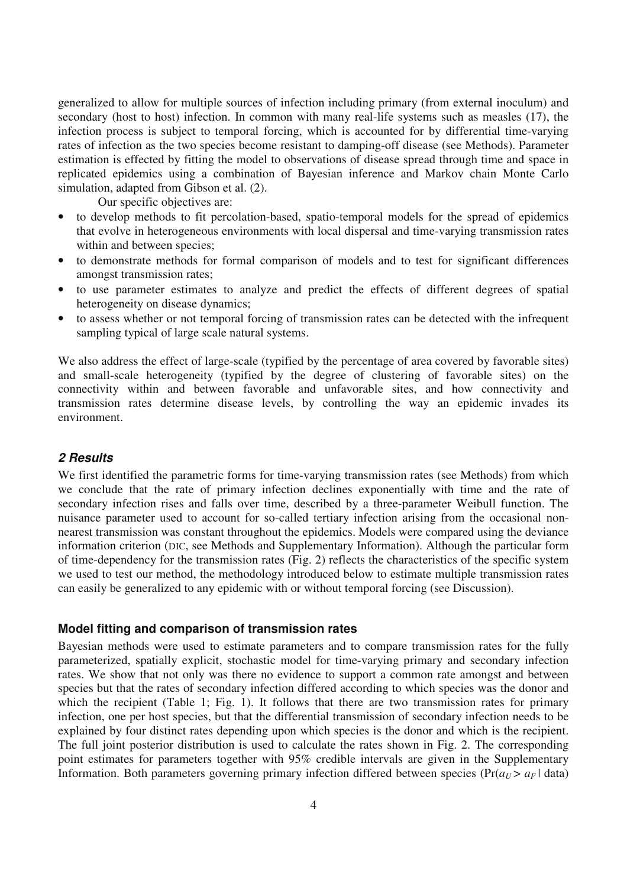generalized to allow for multiple sources of infection including primary (from external inoculum) and secondary (host to host) infection. In common with many real-life systems such as measles (17), the infection process is subject to temporal forcing, which is accounted for by differential time-varying rates of infection as the two species become resistant to damping-off disease (see Methods). Parameter estimation is effected by fitting the model to observations of disease spread through time and space in replicated epidemics using a combination of Bayesian inference and Markov chain Monte Carlo simulation, adapted from Gibson et al. (2).

Our specific objectives are:

- to develop methods to fit percolation-based, spatio-temporal models for the spread of epidemics that evolve in heterogeneous environments with local dispersal and time-varying transmission rates within and between species;
- to demonstrate methods for formal comparison of models and to test for significant differences amongst transmission rates;
- to use parameter estimates to analyze and predict the effects of different degrees of spatial heterogeneity on disease dynamics;
- to assess whether or not temporal forcing of transmission rates can be detected with the infrequent sampling typical of large scale natural systems.

We also address the effect of large-scale (typified by the percentage of area covered by favorable sites) and small-scale heterogeneity (typified by the degree of clustering of favorable sites) on the connectivity within and between favorable and unfavorable sites, and how connectivity and transmission rates determine disease levels, by controlling the way an epidemic invades its environment.

# **2 Results**

We first identified the parametric forms for time-varying transmission rates (see Methods) from which we conclude that the rate of primary infection declines exponentially with time and the rate of secondary infection rises and falls over time, described by a three-parameter Weibull function. The nuisance parameter used to account for so-called tertiary infection arising from the occasional nonnearest transmission was constant throughout the epidemics. Models were compared using the deviance information criterion (DIC, see Methods and Supplementary Information). Although the particular form of time-dependency for the transmission rates (Fig. 2) reflects the characteristics of the specific system we used to test our method, the methodology introduced below to estimate multiple transmission rates can easily be generalized to any epidemic with or without temporal forcing (see Discussion).

### **Model fitting and comparison of transmission rates**

Bayesian methods were used to estimate parameters and to compare transmission rates for the fully parameterized, spatially explicit, stochastic model for time-varying primary and secondary infection rates. We show that not only was there no evidence to support a common rate amongst and between species but that the rates of secondary infection differed according to which species was the donor and which the recipient (Table 1; Fig. 1). It follows that there are two transmission rates for primary infection, one per host species, but that the differential transmission of secondary infection needs to be explained by four distinct rates depending upon which species is the donor and which is the recipient. The full joint posterior distribution is used to calculate the rates shown in Fig. 2. The corresponding point estimates for parameters together with 95% credible intervals are given in the Supplementary Information. Both parameters governing primary infection differed between species ( $Pr(a_U > a_F | data)$ )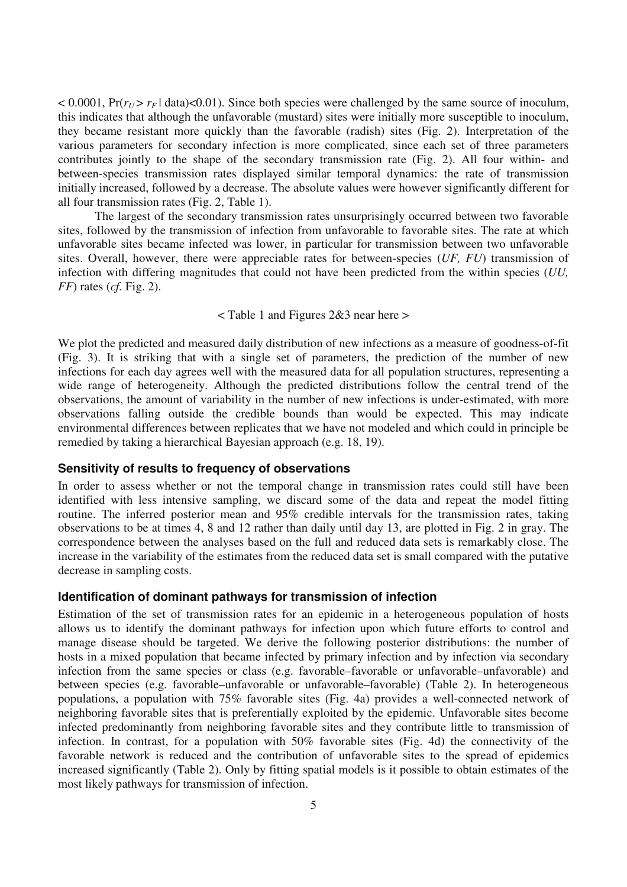$\leq 0.0001$ , Pr( $r_U > r_F$  data) $\leq 0.01$ ). Since both species were challenged by the same source of inoculum, this indicates that although the unfavorable (mustard) sites were initially more susceptible to inoculum, they became resistant more quickly than the favorable (radish) sites (Fig. 2). Interpretation of the various parameters for secondary infection is more complicated, since each set of three parameters contributes jointly to the shape of the secondary transmission rate (Fig. 2). All four within- and between-species transmission rates displayed similar temporal dynamics: the rate of transmission initially increased, followed by a decrease. The absolute values were however significantly different for all four transmission rates (Fig. 2, Table 1).

 The largest of the secondary transmission rates unsurprisingly occurred between two favorable sites, followed by the transmission of infection from unfavorable to favorable sites. The rate at which unfavorable sites became infected was lower, in particular for transmission between two unfavorable sites. Overall, however, there were appreciable rates for between-species (*UF, FU*) transmission of infection with differing magnitudes that could not have been predicted from the within species (*UU, FF*) rates (*cf.* Fig. 2).

< Table 1 and Figures 2&3 near here >

We plot the predicted and measured daily distribution of new infections as a measure of goodness-of-fit (Fig. 3). It is striking that with a single set of parameters, the prediction of the number of new infections for each day agrees well with the measured data for all population structures, representing a wide range of heterogeneity. Although the predicted distributions follow the central trend of the observations, the amount of variability in the number of new infections is under-estimated, with more observations falling outside the credible bounds than would be expected. This may indicate environmental differences between replicates that we have not modeled and which could in principle be remedied by taking a hierarchical Bayesian approach (e.g. 18, 19).

### **Sensitivity of results to frequency of observations**

In order to assess whether or not the temporal change in transmission rates could still have been identified with less intensive sampling, we discard some of the data and repeat the model fitting routine. The inferred posterior mean and 95% credible intervals for the transmission rates, taking observations to be at times 4, 8 and 12 rather than daily until day 13, are plotted in Fig. 2 in gray. The correspondence between the analyses based on the full and reduced data sets is remarkably close. The increase in the variability of the estimates from the reduced data set is small compared with the putative decrease in sampling costs.

### **Identification of dominant pathways for transmission of infection**

Estimation of the set of transmission rates for an epidemic in a heterogeneous population of hosts allows us to identify the dominant pathways for infection upon which future efforts to control and manage disease should be targeted. We derive the following posterior distributions: the number of hosts in a mixed population that became infected by primary infection and by infection via secondary infection from the same species or class (e.g. favorable–favorable or unfavorable–unfavorable) and between species (e.g. favorable–unfavorable or unfavorable–favorable) (Table 2). In heterogeneous populations, a population with 75% favorable sites (Fig. 4a) provides a well-connected network of neighboring favorable sites that is preferentially exploited by the epidemic. Unfavorable sites become infected predominantly from neighboring favorable sites and they contribute little to transmission of infection. In contrast, for a population with 50% favorable sites (Fig. 4d) the connectivity of the favorable network is reduced and the contribution of unfavorable sites to the spread of epidemics increased significantly (Table 2). Only by fitting spatial models is it possible to obtain estimates of the most likely pathways for transmission of infection.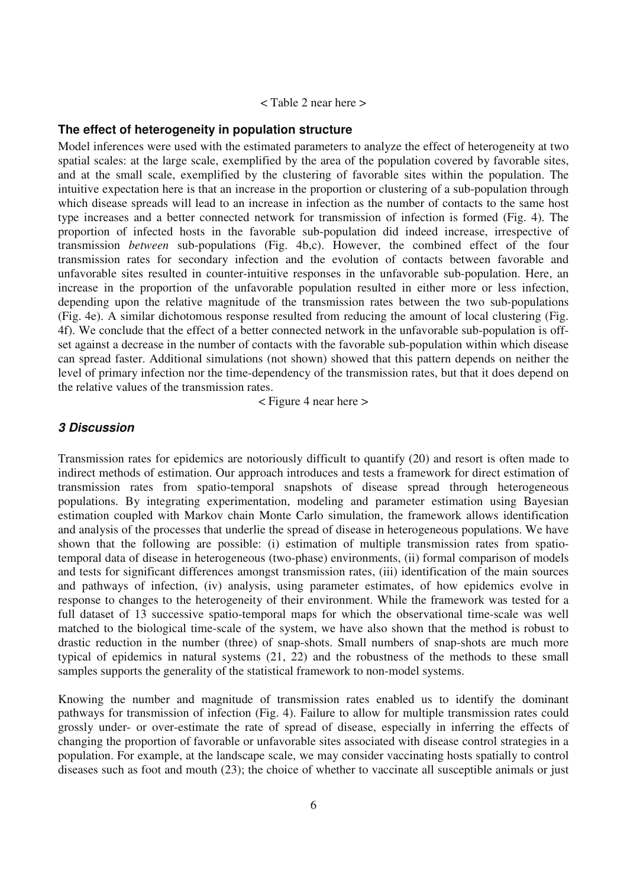#### < Table 2 near here >

#### **The effect of heterogeneity in population structure**

Model inferences were used with the estimated parameters to analyze the effect of heterogeneity at two spatial scales: at the large scale, exemplified by the area of the population covered by favorable sites, and at the small scale, exemplified by the clustering of favorable sites within the population. The intuitive expectation here is that an increase in the proportion or clustering of a sub-population through which disease spreads will lead to an increase in infection as the number of contacts to the same host type increases and a better connected network for transmission of infection is formed (Fig. 4). The proportion of infected hosts in the favorable sub-population did indeed increase, irrespective of transmission *between* sub-populations (Fig. 4b,c). However, the combined effect of the four transmission rates for secondary infection and the evolution of contacts between favorable and unfavorable sites resulted in counter-intuitive responses in the unfavorable sub-population. Here, an increase in the proportion of the unfavorable population resulted in either more or less infection, depending upon the relative magnitude of the transmission rates between the two sub-populations (Fig. 4e). A similar dichotomous response resulted from reducing the amount of local clustering (Fig. 4f). We conclude that the effect of a better connected network in the unfavorable sub-population is offset against a decrease in the number of contacts with the favorable sub-population within which disease can spread faster. Additional simulations (not shown) showed that this pattern depends on neither the level of primary infection nor the time-dependency of the transmission rates, but that it does depend on the relative values of the transmission rates.

< Figure 4 near here >

## **3 Discussion**

Transmission rates for epidemics are notoriously difficult to quantify (20) and resort is often made to indirect methods of estimation. Our approach introduces and tests a framework for direct estimation of transmission rates from spatio-temporal snapshots of disease spread through heterogeneous populations. By integrating experimentation, modeling and parameter estimation using Bayesian estimation coupled with Markov chain Monte Carlo simulation, the framework allows identification and analysis of the processes that underlie the spread of disease in heterogeneous populations. We have shown that the following are possible: (i) estimation of multiple transmission rates from spatiotemporal data of disease in heterogeneous (two-phase) environments, (ii) formal comparison of models and tests for significant differences amongst transmission rates, (iii) identification of the main sources and pathways of infection, (iv) analysis, using parameter estimates, of how epidemics evolve in response to changes to the heterogeneity of their environment. While the framework was tested for a full dataset of 13 successive spatio-temporal maps for which the observational time-scale was well matched to the biological time-scale of the system, we have also shown that the method is robust to drastic reduction in the number (three) of snap-shots. Small numbers of snap-shots are much more typical of epidemics in natural systems (21, 22) and the robustness of the methods to these small samples supports the generality of the statistical framework to non-model systems.

Knowing the number and magnitude of transmission rates enabled us to identify the dominant pathways for transmission of infection (Fig. 4). Failure to allow for multiple transmission rates could grossly under- or over-estimate the rate of spread of disease, especially in inferring the effects of changing the proportion of favorable or unfavorable sites associated with disease control strategies in a population. For example, at the landscape scale, we may consider vaccinating hosts spatially to control diseases such as foot and mouth (23); the choice of whether to vaccinate all susceptible animals or just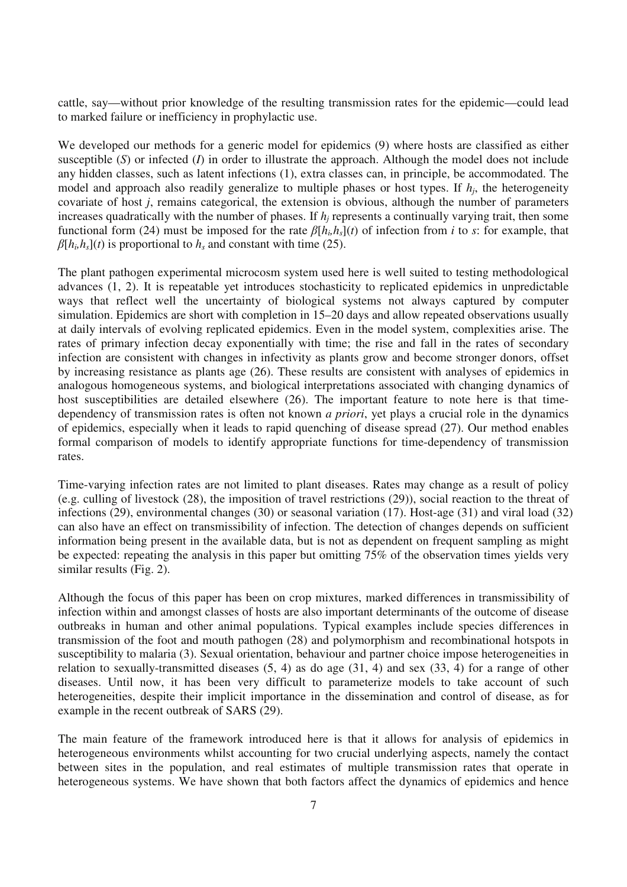cattle, say—without prior knowledge of the resulting transmission rates for the epidemic—could lead to marked failure or inefficiency in prophylactic use.

We developed our methods for a generic model for epidemics (9) where hosts are classified as either susceptible  $(S)$  or infected  $(I)$  in order to illustrate the approach. Although the model does not include any hidden classes, such as latent infections (1), extra classes can, in principle, be accommodated. The model and approach also readily generalize to multiple phases or host types. If *h<sup>j</sup>* , the heterogeneity covariate of host *j*, remains categorical, the extension is obvious, although the number of parameters increases quadratically with the number of phases. If  $h_j$  represents a continually varying trait, then some functional form (24) must be imposed for the rate  $\beta[h_i, h_s](t)$  of infection from *i* to *s*: for example, that  $\beta[h_i, h_s](t)$  is proportional to  $h_s$  and constant with time (25).

The plant pathogen experimental microcosm system used here is well suited to testing methodological advances (1, 2). It is repeatable yet introduces stochasticity to replicated epidemics in unpredictable ways that reflect well the uncertainty of biological systems not always captured by computer simulation. Epidemics are short with completion in 15–20 days and allow repeated observations usually at daily intervals of evolving replicated epidemics. Even in the model system, complexities arise. The rates of primary infection decay exponentially with time; the rise and fall in the rates of secondary infection are consistent with changes in infectivity as plants grow and become stronger donors, offset by increasing resistance as plants age (26). These results are consistent with analyses of epidemics in analogous homogeneous systems, and biological interpretations associated with changing dynamics of host susceptibilities are detailed elsewhere (26). The important feature to note here is that timedependency of transmission rates is often not known *a priori*, yet plays a crucial role in the dynamics of epidemics, especially when it leads to rapid quenching of disease spread (27). Our method enables formal comparison of models to identify appropriate functions for time-dependency of transmission rates.

Time-varying infection rates are not limited to plant diseases. Rates may change as a result of policy (e.g. culling of livestock (28), the imposition of travel restrictions (29)), social reaction to the threat of infections (29), environmental changes (30) or seasonal variation (17). Host-age (31) and viral load (32) can also have an effect on transmissibility of infection. The detection of changes depends on sufficient information being present in the available data, but is not as dependent on frequent sampling as might be expected: repeating the analysis in this paper but omitting 75% of the observation times yields very similar results (Fig. 2).

Although the focus of this paper has been on crop mixtures, marked differences in transmissibility of infection within and amongst classes of hosts are also important determinants of the outcome of disease outbreaks in human and other animal populations. Typical examples include species differences in transmission of the foot and mouth pathogen (28) and polymorphism and recombinational hotspots in susceptibility to malaria (3). Sexual orientation, behaviour and partner choice impose heterogeneities in relation to sexually-transmitted diseases  $(5, 4)$  as do age  $(31, 4)$  and sex  $(33, 4)$  for a range of other diseases. Until now, it has been very difficult to parameterize models to take account of such heterogeneities, despite their implicit importance in the dissemination and control of disease, as for example in the recent outbreak of SARS (29).

The main feature of the framework introduced here is that it allows for analysis of epidemics in heterogeneous environments whilst accounting for two crucial underlying aspects, namely the contact between sites in the population, and real estimates of multiple transmission rates that operate in heterogeneous systems. We have shown that both factors affect the dynamics of epidemics and hence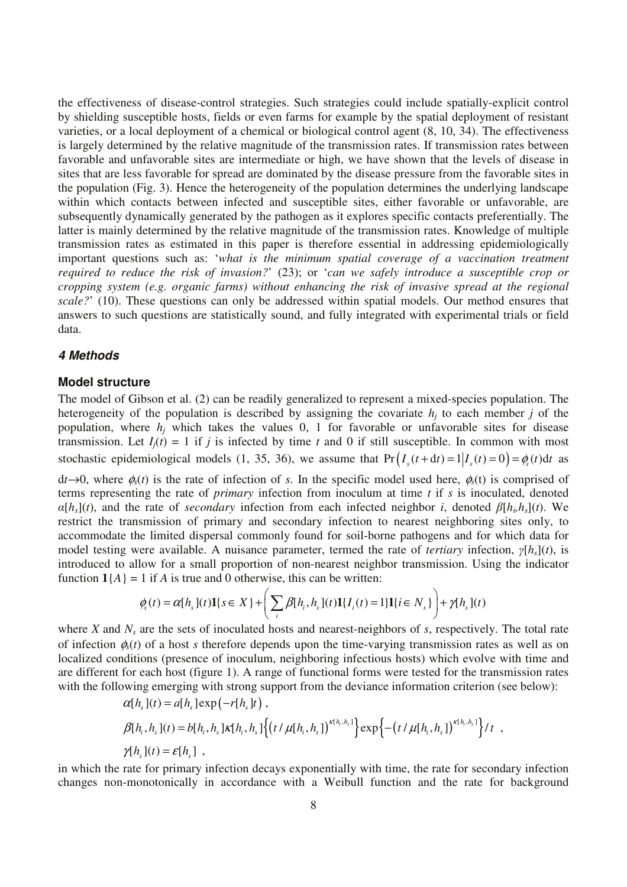the effectiveness of disease-control strategies. Such strategies could include spatially-explicit control by shielding susceptible hosts, fields or even farms for example by the spatial deployment of resistant varieties, or a local deployment of a chemical or biological control agent (8, 10, 34). The effectiveness is largely determined by the relative magnitude of the transmission rates. If transmission rates between favorable and unfavorable sites are intermediate or high, we have shown that the levels of disease in sites that are less favorable for spread are dominated by the disease pressure from the favorable sites in the population (Fig. 3). Hence the heterogeneity of the population determines the underlying landscape within which contacts between infected and susceptible sites, either favorable or unfavorable, are subsequently dynamically generated by the pathogen as it explores specific contacts preferentially. The latter is mainly determined by the relative magnitude of the transmission rates. Knowledge of multiple transmission rates as estimated in this paper is therefore essential in addressing epidemiologically important questions such as: '*what is the minimum spatial coverage of a vaccination treatment required to reduce the risk of invasion?*' (23); or '*can we safely introduce a susceptible crop or cropping system (e.g. organic farms) without enhancing the risk of invasive spread at the regional scale?*' (10). These questions can only be addressed within spatial models. Our method ensures that answers to such questions are statistically sound, and fully integrated with experimental trials or field data.

### **4 Methods**

### **Model structure**

The model of Gibson et al. (2) can be readily generalized to represent a mixed-species population. The heterogeneity of the population is described by assigning the covariate  $h_j$  to each member *j* of the population, where  $h_j$  which takes the values 0, 1 for favorable or unfavorable sites for disease transmission. Let  $I_i(t) = 1$  if *j* is infected by time *t* and 0 if still susceptible. In common with most stochastic epidemiological models (1, 35, 36), we assume that  $Pr(I_s(t+dt)=1|I_s(t)=0) = \phi_s(t)dt$  as

 $dt\rightarrow 0$ , where  $\phi_s(t)$  is the rate of infection of *s*. In the specific model used here,  $\phi_s(t)$  is comprised of terms representing the rate of *primary* infection from inoculum at time *t* if *s* is inoculated, denoted  $\alpha[h_s](t)$ , and the rate of *secondary* infection from each infected neighbor *i*, denoted  $\beta[h_i, h_s](t)$ . We restrict the transmission of primary and secondary infection to nearest neighboring sites only, to accommodate the limited dispersal commonly found for soil-borne pathogens and for which data for model testing were available. A nuisance parameter, termed the rate of *tertiary* infection,  $y[h_s](t)$ , is introduced to allow for a small proportion of non-nearest neighbor transmission. Using the indicator function  $1\{A\} = 1$  if *A* is true and 0 otherwise, this can be written:

$$
\phi_s(t) = \alpha[h_s](t) \mathbf{1}\{s \in X\} + \left(\sum_i \beta[h_i, h_s](t) \mathbf{1}\{I_i(t) = 1\} \mathbf{1}\{i \in N_s\}\right) + \gamma[h_s](t)
$$

where *X* and  $N_s$  are the sets of inoculated hosts and nearest-neighbors of *s*, respectively. The total rate of infection φ*s*(*t*) of a host *s* therefore depends upon the time-varying transmission rates as well as on localized conditions (presence of inoculum, neighboring infectious hosts) which evolve with time and are different for each host (figure 1). A range of functional forms were tested for the transmission rates with the following emerging with strong support from the deviance information criterion (see below):

$$
\alpha[h_s](t) = a[h_s] \exp(-r[h_s]t),\n\beta[h_i, h_s](t) = b[h_i, h_s] \kappa[h_i, h_s] \{(t/\mu[h_i, h_s])^{\kappa[h_i, h_s]}\} \exp\{-(t/\mu[h_i, h_s])^{\kappa[h_i, h_s]}\} / t,
$$
\n
$$
\gamma[h_s](t) = \varepsilon[h_s],
$$

in which the rate for primary infection decays exponentially with time, the rate for secondary infection changes non-monotonically in accordance with a Weibull function and the rate for background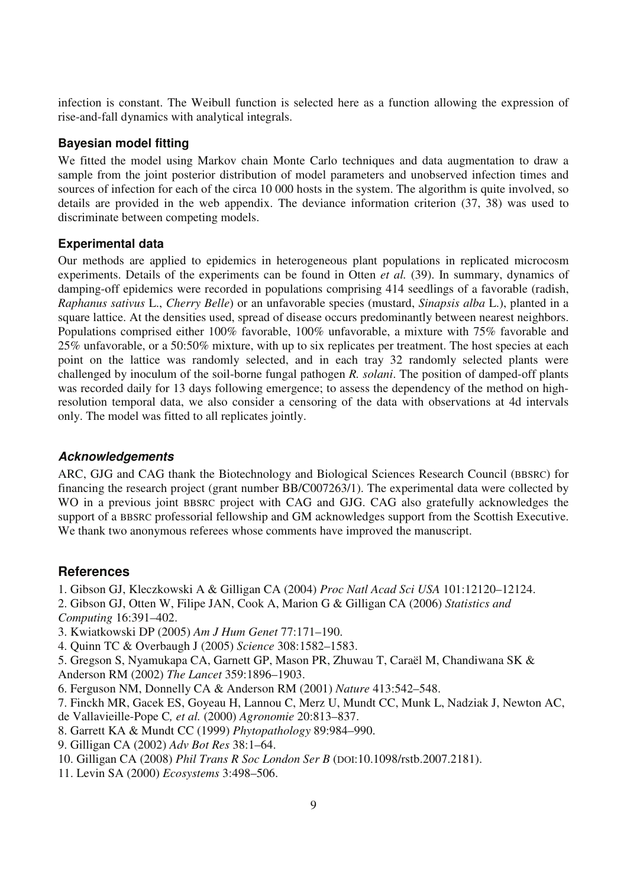infection is constant. The Weibull function is selected here as a function allowing the expression of rise-and-fall dynamics with analytical integrals.

# **Bayesian model fitting**

We fitted the model using Markov chain Monte Carlo techniques and data augmentation to draw a sample from the joint posterior distribution of model parameters and unobserved infection times and sources of infection for each of the circa 10 000 hosts in the system. The algorithm is quite involved, so details are provided in the web appendix. The deviance information criterion (37, 38) was used to discriminate between competing models.

# **Experimental data**

Our methods are applied to epidemics in heterogeneous plant populations in replicated microcosm experiments. Details of the experiments can be found in Otten *et al.* (39). In summary, dynamics of damping-off epidemics were recorded in populations comprising 414 seedlings of a favorable (radish, *Raphanus sativus* L., *Cherry Belle*) or an unfavorable species (mustard, *Sinapsis alba* L.), planted in a square lattice. At the densities used, spread of disease occurs predominantly between nearest neighbors. Populations comprised either 100% favorable, 100% unfavorable, a mixture with 75% favorable and 25% unfavorable, or a 50:50% mixture, with up to six replicates per treatment. The host species at each point on the lattice was randomly selected, and in each tray 32 randomly selected plants were challenged by inoculum of the soil-borne fungal pathogen *R. solani*. The position of damped-off plants was recorded daily for 13 days following emergence; to assess the dependency of the method on highresolution temporal data, we also consider a censoring of the data with observations at 4d intervals only. The model was fitted to all replicates jointly.

# **Acknowledgements**

ARC, GJG and CAG thank the Biotechnology and Biological Sciences Research Council (BBSRC) for financing the research project (grant number BB/C007263/1). The experimental data were collected by WO in a previous joint BBSRC project with CAG and GJG. CAG also gratefully acknowledges the support of a BBSRC professorial fellowship and GM acknowledges support from the Scottish Executive. We thank two anonymous referees whose comments have improved the manuscript.

# **References**

1. Gibson GJ, Kleczkowski A & Gilligan CA (2004) *Proc Natl Acad Sci USA* 101:12120–12124.

- 2. Gibson GJ, Otten W, Filipe JAN, Cook A, Marion G & Gilligan CA (2006) *Statistics and Computing* 16:391–402.
- 3. Kwiatkowski DP (2005) *Am J Hum Genet* 77:171–190.
- 4. Quinn TC & Overbaugh J (2005) *Science* 308:1582–1583.
- 5. Gregson S, Nyamukapa CA, Garnett GP, Mason PR, Zhuwau T, Caraël M, Chandiwana SK & Anderson RM (2002) *The Lancet* 359:1896–1903.
- 6. Ferguson NM, Donnelly CA & Anderson RM (2001) *Nature* 413:542–548.
- 7. Finckh MR, Gacek ES, Goyeau H, Lannou C, Merz U, Mundt CC, Munk L, Nadziak J, Newton AC,
- de Vallavieille-Pope C*, et al.* (2000) *Agronomie* 20:813–837.
- 8. Garrett KA & Mundt CC (1999) *Phytopathology* 89:984–990.
- 9. Gilligan CA (2002) *Adv Bot Res* 38:1–64.
- 10. Gilligan CA (2008) *Phil Trans R Soc London Ser B* (DOI:10.1098/rstb.2007.2181).
- 11. Levin SA (2000) *Ecosystems* 3:498–506.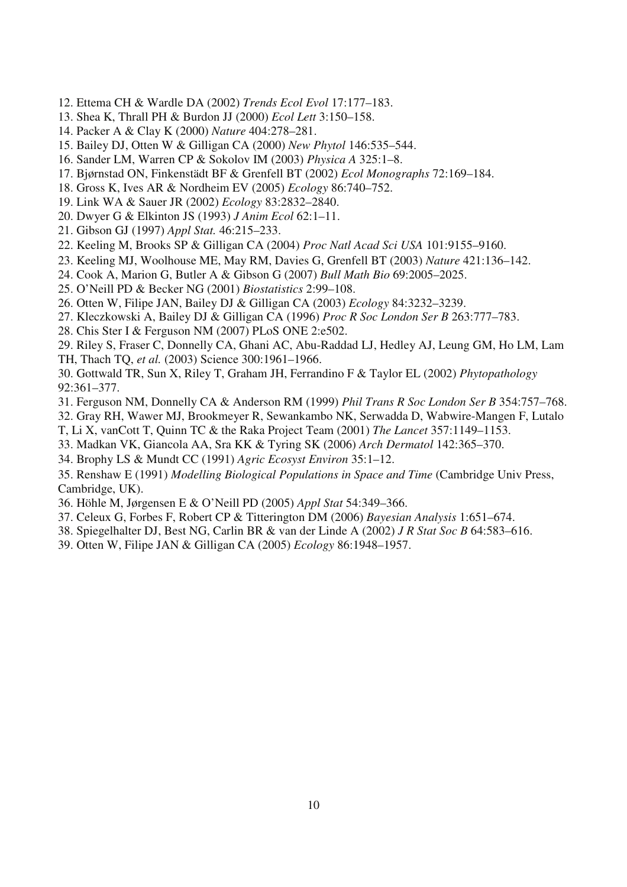- 12. Ettema CH & Wardle DA (2002) *Trends Ecol Evol* 17:177–183.
- 13. Shea K, Thrall PH & Burdon JJ (2000) *Ecol Lett* 3:150–158.
- 14. Packer A & Clay K (2000) *Nature* 404:278–281.
- 15. Bailey DJ, Otten W & Gilligan CA (2000) *New Phytol* 146:535–544.
- 16. Sander LM, Warren CP & Sokolov IM (2003) *Physica A* 325:1–8.
- 17. Bjørnstad ON, Finkenstädt BF & Grenfell BT (2002) *Ecol Monographs* 72:169–184.
- 18. Gross K, Ives AR & Nordheim EV (2005) *Ecology* 86:740–752.
- 19. Link WA & Sauer JR (2002) *Ecology* 83:2832–2840.
- 20. Dwyer G & Elkinton JS (1993) *J Anim Ecol* 62:1–11.
- 21. Gibson GJ (1997) *Appl Stat.* 46:215–233.
- 22. Keeling M, Brooks SP & Gilligan CA (2004) *Proc Natl Acad Sci USA* 101:9155–9160.
- 23. Keeling MJ, Woolhouse ME, May RM, Davies G, Grenfell BT (2003) *Nature* 421:136–142.
- 24. Cook A, Marion G, Butler A & Gibson G (2007) *Bull Math Bio* 69:2005–2025.
- 25. O'Neill PD & Becker NG (2001) *Biostatistics* 2:99–108.
- 26. Otten W, Filipe JAN, Bailey DJ & Gilligan CA (2003) *Ecology* 84:3232–3239.
- 27. Kleczkowski A, Bailey DJ & Gilligan CA (1996) *Proc R Soc London Ser B* 263:777–783.
- 28. Chis Ster I & Ferguson NM (2007) PLoS ONE 2:e502.
- 29. Riley S, Fraser C, Donnelly CA, Ghani AC, Abu-Raddad LJ, Hedley AJ, Leung GM, Ho LM, Lam TH, Thach TQ, *et al.* (2003) Science 300:1961–1966.
- 30. Gottwald TR, Sun X, Riley T, Graham JH, Ferrandino F & Taylor EL (2002) *Phytopathology* 92:361–377.
- 31. Ferguson NM, Donnelly CA & Anderson RM (1999) *Phil Trans R Soc London Ser B* 354:757–768.
- 32. Gray RH, Wawer MJ, Brookmeyer R, Sewankambo NK, Serwadda D, Wabwire-Mangen F, Lutalo
- T, Li X, vanCott T, Quinn TC & the Raka Project Team (2001) *The Lancet* 357:1149–1153.
- 33. Madkan VK, Giancola AA, Sra KK & Tyring SK (2006) *Arch Dermatol* 142:365–370.
- 34. Brophy LS & Mundt CC (1991) *Agric Ecosyst Environ* 35:1–12.
- 35. Renshaw E (1991) *Modelling Biological Populations in Space and Time* (Cambridge Univ Press, Cambridge, UK).
- 36. Höhle M, Jørgensen E & O'Neill PD (2005) *Appl Stat* 54:349–366.
- 37. Celeux G, Forbes F, Robert CP & Titterington DM (2006) *Bayesian Analysis* 1:651–674.
- 38. Spiegelhalter DJ, Best NG, Carlin BR & van der Linde A (2002) *J R Stat Soc B* 64:583–616.
- 39. Otten W, Filipe JAN & Gilligan CA (2005) *Ecology* 86:1948–1957.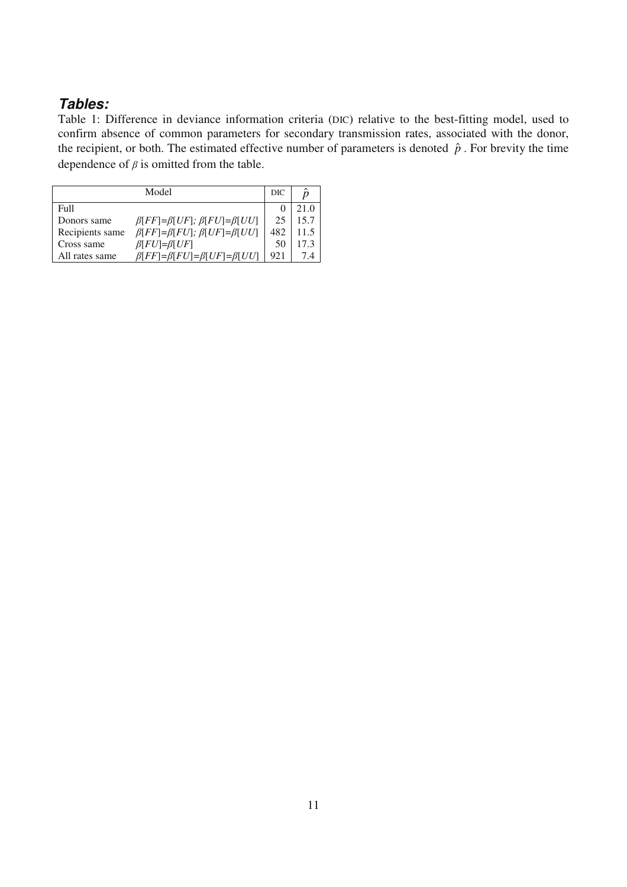# **Tables:**

Table 1: Difference in deviance information criteria (DIC) relative to the best-fitting model, used to confirm absence of common parameters for secondary transmission rates, associated with the donor, the recipient, or both. The estimated effective number of parameters is denoted  $\hat{p}$ . For brevity the time dependence of  $\beta$  is omitted from the table.

|                 | Model                                                  | DIC |      |
|-----------------|--------------------------------------------------------|-----|------|
| Full            |                                                        |     | 21.0 |
| Donors same     | $\beta[FF]=\beta[UF]; \beta[FU]=\beta[UU]$             | 25  | 15.7 |
| Recipients same | $\beta[FF]=\beta[FU]; \beta[UF]=\beta[UU]$             | 482 | 11.5 |
| Cross same      | $\beta$ [ $FU$ ]= $\beta$ [ $UF$ ]                     | 50  | 17.3 |
| All rates same  | $\beta$ [FF]= $\beta$ [FU]= $\beta$ [UF]= $\beta$ [UU] | 921 |      |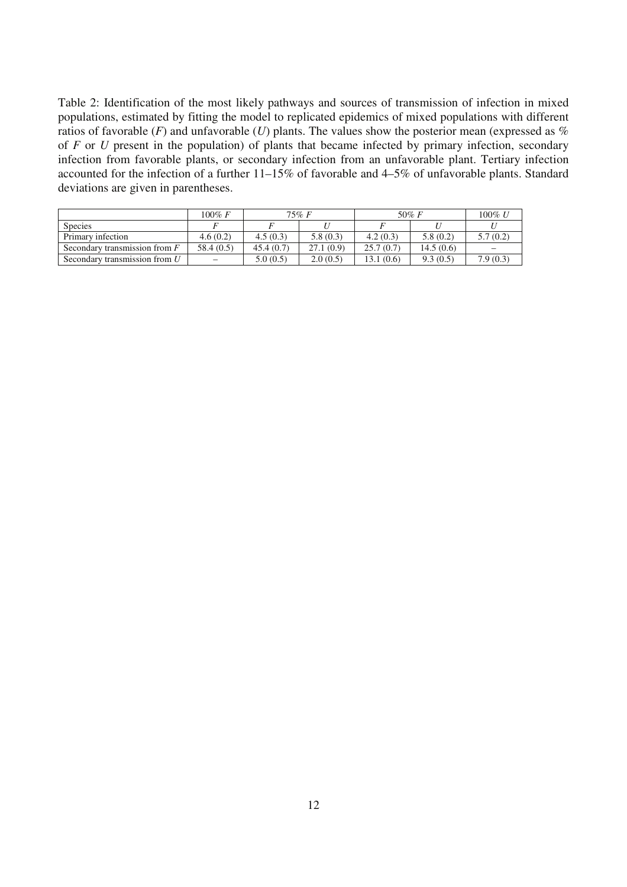Table 2: Identification of the most likely pathways and sources of transmission of infection in mixed populations, estimated by fitting the model to replicated epidemics of mixed populations with different ratios of favorable (*F*) and unfavorable (*U*) plants. The values show the posterior mean (expressed as % of *F* or *U* present in the population) of plants that became infected by primary infection, secondary infection from favorable plants, or secondary infection from an unfavorable plant. Tertiary infection accounted for the infection of a further 11–15% of favorable and 4–5% of unfavorable plants. Standard deviations are given in parentheses.

|                                 | 100% $F$   | $75\% F$  |           | 50% F     |           | 100% U   |
|---------------------------------|------------|-----------|-----------|-----------|-----------|----------|
| <b>Species</b>                  |            |           |           |           |           |          |
| Primary infection               | 4.6(0.2)   | 4.5(0.3)  | 5.8(0.3)  | 4.2(0.3)  | 5.8(0.2)  | 5.7(0.2) |
| Secondary transmission from $F$ | 58.4 (0.5) | 45.4(0.7) | 27.1(0.9) | 25.7(0.7) | 14.5(0.6) |          |
| Secondary transmission from $U$ |            | 5.0(0.5)  | 2.0(0.5)  | 13.1(0.6) | 9.3(0.5)  | 7.9(0.3) |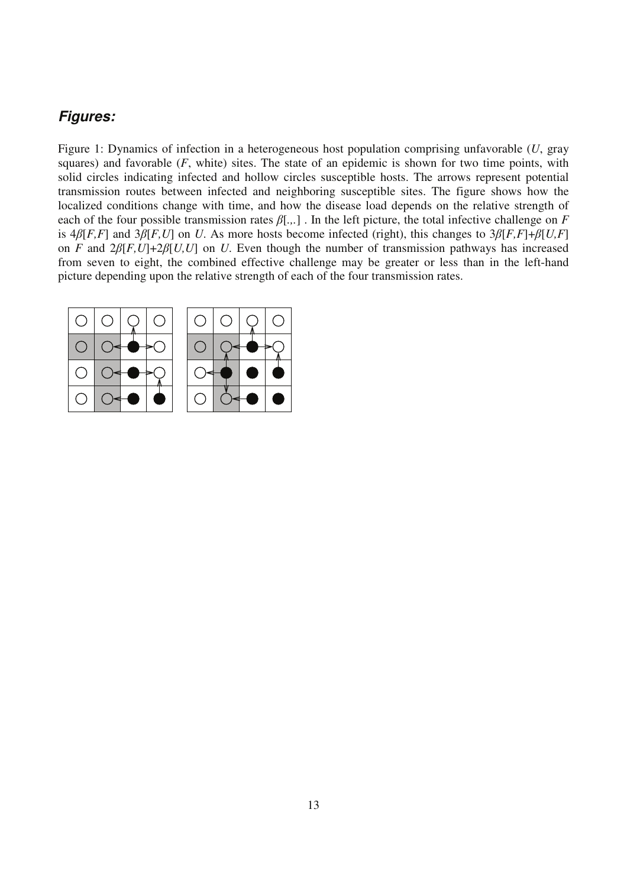# **Figures:**

Figure 1: Dynamics of infection in a heterogeneous host population comprising unfavorable (*U*, gray squares) and favorable (*F*, white) sites. The state of an epidemic is shown for two time points, with solid circles indicating infected and hollow circles susceptible hosts. The arrows represent potential transmission routes between infected and neighboring susceptible sites. The figure shows how the localized conditions change with time, and how the disease load depends on the relative strength of each of the four possible transmission rates  $\beta$ [...] . In the left picture, the total infective challenge on *F* is  $4\beta[F,F]$  and  $3\beta[F,U]$  on *U*. As more hosts become infected (right), this changes to  $3\beta[F,F] + \beta[U,F]$ on *F* and  $2\beta$ [*F,U*]+2 $\beta$ [*U,U*] on *U*. Even though the number of transmission pathways has increased from seven to eight, the combined effective challenge may be greater or less than in the left-hand picture depending upon the relative strength of each of the four transmission rates.

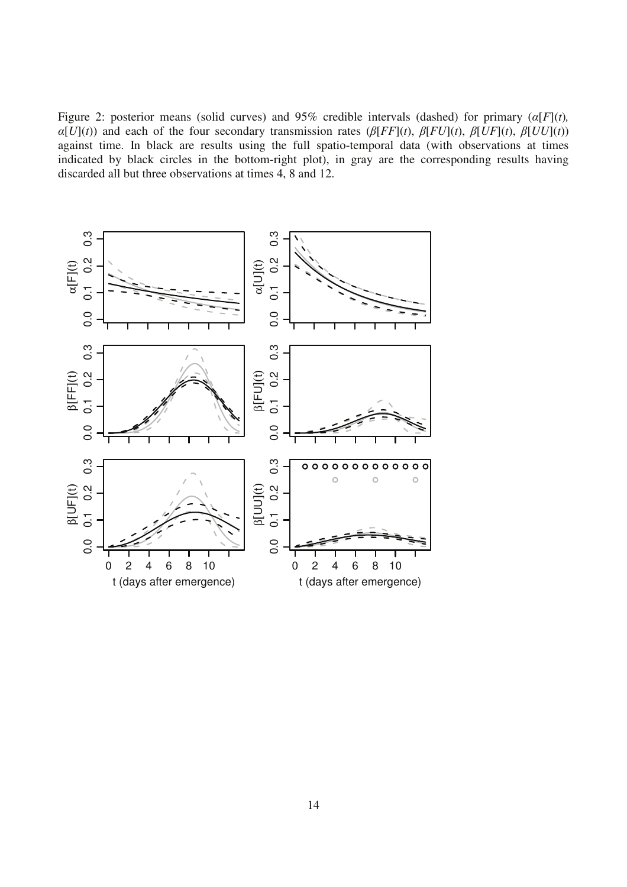Figure 2: posterior means (solid curves) and  $95\%$  credible intervals (dashed) for primary ( $\alpha$ [F](*t*)*,*  $\alpha[U](t)$  and each of the four secondary transmission rates  $(\beta[FF](t), \beta[FU](t), \beta[UF](t), \beta[UU](t))$ against time. In black are results using the full spatio-temporal data (with observations at times indicated by black circles in the bottom-right plot), in gray are the corresponding results having discarded all but three observations at times 4, 8 and 12.

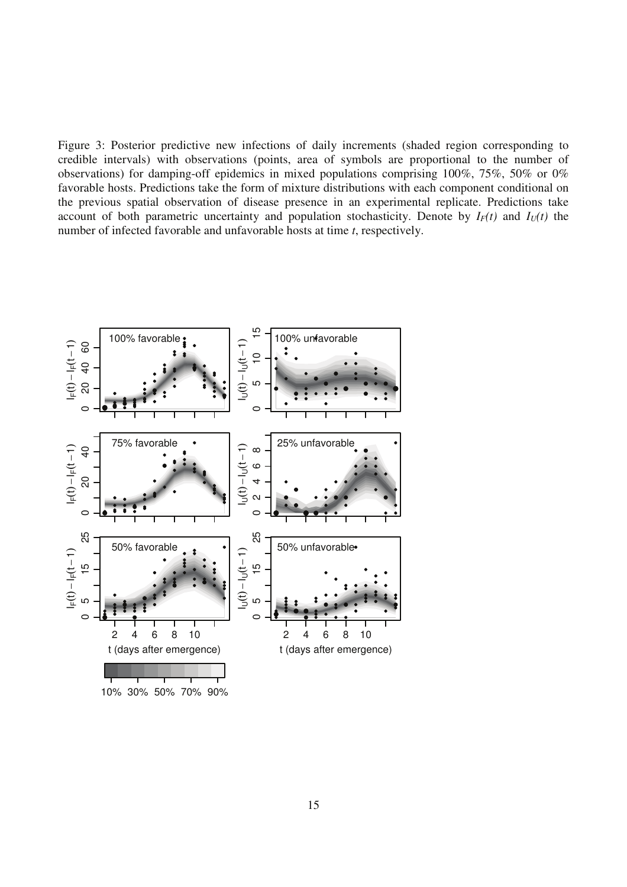Figure 3: Posterior predictive new infections of daily increments (shaded region corresponding to credible intervals) with observations (points, area of symbols are proportional to the number of observations) for damping-off epidemics in mixed populations comprising 100%, 75%, 50% or 0% favorable hosts. Predictions take the form of mixture distributions with each component conditional on the previous spatial observation of disease presence in an experimental replicate. Predictions take account of both parametric uncertainty and population stochasticity. Denote by  $I_F(t)$  and  $I_U(t)$  the number of infected favorable and unfavorable hosts at time *t*, respectively.

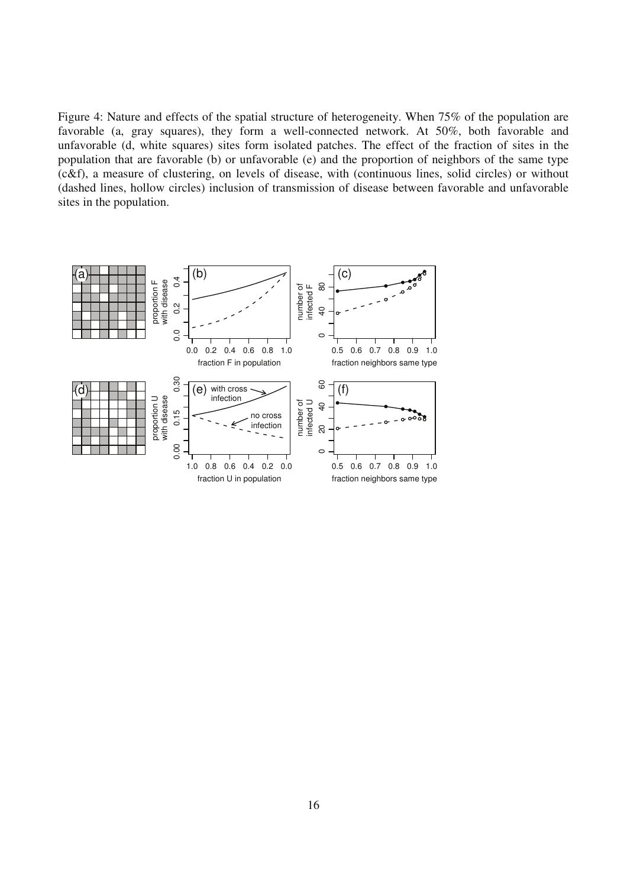Figure 4: Nature and effects of the spatial structure of heterogeneity. When 75% of the population are favorable (a, gray squares), they form a well-connected network. At 50%, both favorable and unfavorable (d, white squares) sites form isolated patches. The effect of the fraction of sites in the population that are favorable (b) or unfavorable (e) and the proportion of neighbors of the same type (c&f), a measure of clustering, on levels of disease, with (continuous lines, solid circles) or without (dashed lines, hollow circles) inclusion of transmission of disease between favorable and unfavorable sites in the population.

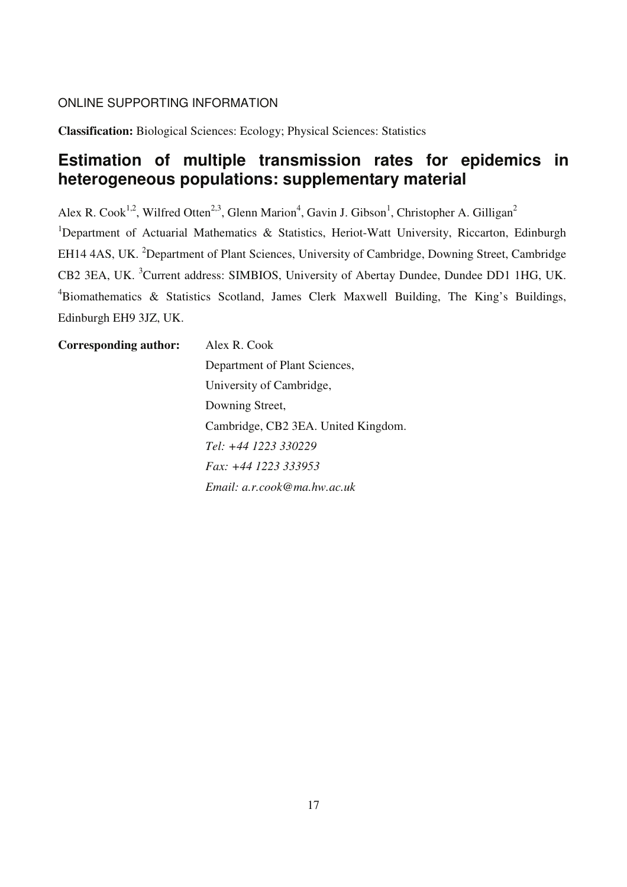# ONLINE SUPPORTING INFORMATION

**Classification:** Biological Sciences: Ecology; Physical Sciences: Statistics

# **Estimation of multiple transmission rates for epidemics in heterogeneous populations: supplementary material**

Alex R. Cook<sup>1,2</sup>, Wilfred Otten<sup>2,3</sup>, Glenn Marion<sup>4</sup>, Gavin J. Gibson<sup>1</sup>, Christopher A. Gilligan<sup>2</sup> <sup>1</sup>Department of Actuarial Mathematics & Statistics, Heriot-Watt University, Riccarton, Edinburgh EH14 4AS, UK. <sup>2</sup>Department of Plant Sciences, University of Cambridge, Downing Street, Cambridge CB2 3EA, UK. <sup>3</sup>Current address: SIMBIOS, University of Abertay Dundee, Dundee DD1 1HG, UK. <sup>4</sup>Biomathematics & Statistics Scotland, James Clerk Maxwell Building, The King's Buildings, Edinburgh EH9 3JZ, UK.

| Corresponding author: | Alex R. Cook                        |  |
|-----------------------|-------------------------------------|--|
|                       | Department of Plant Sciences,       |  |
|                       | University of Cambridge,            |  |
|                       | Downing Street,                     |  |
|                       | Cambridge, CB2 3EA. United Kingdom. |  |
|                       | Tel: +44 1223 330229                |  |
|                       | <i>Fax:</i> +44 1223 333953         |  |
|                       | Email: $a.r.cook@ma.hw.ac.uk$       |  |
|                       |                                     |  |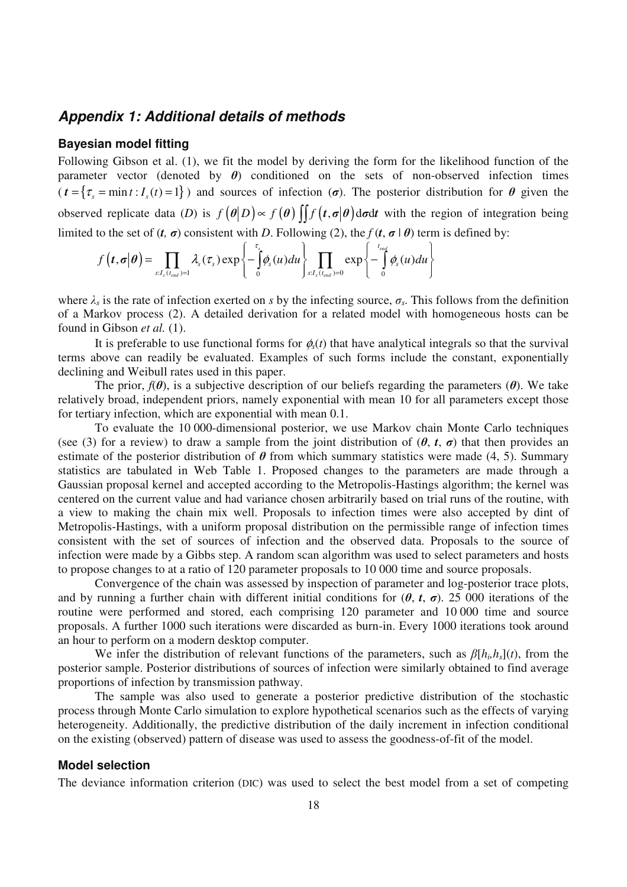# **Appendix 1: Additional details of methods**

# **Bayesian model fitting**

Following Gibson et al. (1), we fit the model by deriving the form for the likelihood function of the parameter vector (denoted by  $\theta$ ) conditioned on the sets of non-observed infection times  $(t = {\tau_s = min t : I_s(t) = 1})$  and sources of infection ( $\sigma$ ). The posterior distribution for  $\theta$  given the observed replicate data (*D*) is  $f(\theta|D) \propto f(\theta) \iint f(t, \sigma | \theta) d\sigma dt$  with the region of integration being limited to the set of  $(t, \sigma)$  consistent with *D*. Following (2), the  $f(t, \sigma | \theta)$  term is defined by:

$$
f\left(t,\sigma|\theta\right)=\prod_{s:I_s(t_{end})=1}\lambda_s(\tau_s)\exp\left\{-\int\limits_0^{\tau_s}\phi_s(u)du\right\}\prod_{s:I_s(t_{end})=0}\exp\left\{-\int\limits_0^{t_{end}}\phi_s(u)du\right\}
$$

where  $\lambda_s$  is the rate of infection exerted on *s* by the infecting source,  $\sigma_s$ . This follows from the definition of a Markov process (2). A detailed derivation for a related model with homogeneous hosts can be found in Gibson *et al.* (1).

It is preferable to use functional forms for  $\phi_s(t)$  that have analytical integrals so that the survival terms above can readily be evaluated. Examples of such forms include the constant, exponentially declining and Weibull rates used in this paper.

The prior,  $f(\theta)$ , is a subjective description of our beliefs regarding the parameters ( $\theta$ ). We take relatively broad, independent priors, namely exponential with mean 10 for all parameters except those for tertiary infection, which are exponential with mean 0.1.

To evaluate the 10 000-dimensional posterior, we use Markov chain Monte Carlo techniques (see (3) for a review) to draw a sample from the joint distribution of  $(\theta, t, \sigma)$  that then provides an estimate of the posterior distribution of  $\theta$  from which summary statistics were made (4, 5). Summary statistics are tabulated in Web Table 1. Proposed changes to the parameters are made through a Gaussian proposal kernel and accepted according to the Metropolis-Hastings algorithm; the kernel was centered on the current value and had variance chosen arbitrarily based on trial runs of the routine, with a view to making the chain mix well. Proposals to infection times were also accepted by dint of Metropolis-Hastings, with a uniform proposal distribution on the permissible range of infection times consistent with the set of sources of infection and the observed data. Proposals to the source of infection were made by a Gibbs step. A random scan algorithm was used to select parameters and hosts to propose changes to at a ratio of 120 parameter proposals to 10 000 time and source proposals.

Convergence of the chain was assessed by inspection of parameter and log-posterior trace plots, and by running a further chain with different initial conditions for  $(\theta, t, \sigma)$ . 25 000 iterations of the routine were performed and stored, each comprising 120 parameter and 10 000 time and source proposals. A further 1000 such iterations were discarded as burn-in. Every 1000 iterations took around an hour to perform on a modern desktop computer.

We infer the distribution of relevant functions of the parameters, such as  $\beta[h_i, h_s](t)$ , from the posterior sample. Posterior distributions of sources of infection were similarly obtained to find average proportions of infection by transmission pathway.

The sample was also used to generate a posterior predictive distribution of the stochastic process through Monte Carlo simulation to explore hypothetical scenarios such as the effects of varying heterogeneity. Additionally, the predictive distribution of the daily increment in infection conditional on the existing (observed) pattern of disease was used to assess the goodness-of-fit of the model.

## **Model selection**

The deviance information criterion (DIC) was used to select the best model from a set of competing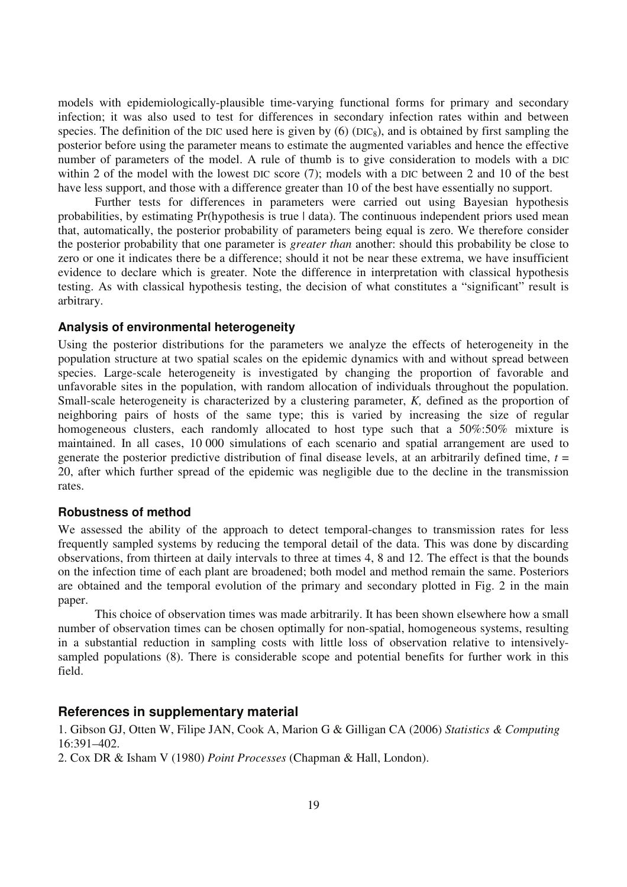models with epidemiologically-plausible time-varying functional forms for primary and secondary infection; it was also used to test for differences in secondary infection rates within and between species. The definition of the DIC used here is given by  $(6)$  (DIC<sub>8</sub>), and is obtained by first sampling the posterior before using the parameter means to estimate the augmented variables and hence the effective number of parameters of the model. A rule of thumb is to give consideration to models with a DIC within 2 of the model with the lowest DIC score (7); models with a DIC between 2 and 10 of the best have less support, and those with a difference greater than 10 of the best have essentially no support.

Further tests for differences in parameters were carried out using Bayesian hypothesis probabilities, by estimating Pr(hypothesis is true | data). The continuous independent priors used mean that, automatically, the posterior probability of parameters being equal is zero. We therefore consider the posterior probability that one parameter is *greater than* another: should this probability be close to zero or one it indicates there be a difference; should it not be near these extrema, we have insufficient evidence to declare which is greater. Note the difference in interpretation with classical hypothesis testing. As with classical hypothesis testing, the decision of what constitutes a "significant" result is arbitrary.

### **Analysis of environmental heterogeneity**

Using the posterior distributions for the parameters we analyze the effects of heterogeneity in the population structure at two spatial scales on the epidemic dynamics with and without spread between species. Large-scale heterogeneity is investigated by changing the proportion of favorable and unfavorable sites in the population, with random allocation of individuals throughout the population. Small-scale heterogeneity is characterized by a clustering parameter, *K,* defined as the proportion of neighboring pairs of hosts of the same type; this is varied by increasing the size of regular homogeneous clusters, each randomly allocated to host type such that a 50%:50% mixture is maintained. In all cases, 10 000 simulations of each scenario and spatial arrangement are used to generate the posterior predictive distribution of final disease levels, at an arbitrarily defined time,  $t =$ 20, after which further spread of the epidemic was negligible due to the decline in the transmission rates.

#### **Robustness of method**

We assessed the ability of the approach to detect temporal-changes to transmission rates for less frequently sampled systems by reducing the temporal detail of the data. This was done by discarding observations, from thirteen at daily intervals to three at times 4, 8 and 12. The effect is that the bounds on the infection time of each plant are broadened; both model and method remain the same. Posteriors are obtained and the temporal evolution of the primary and secondary plotted in Fig. 2 in the main paper.

 This choice of observation times was made arbitrarily. It has been shown elsewhere how a small number of observation times can be chosen optimally for non-spatial, homogeneous systems, resulting in a substantial reduction in sampling costs with little loss of observation relative to intensivelysampled populations (8). There is considerable scope and potential benefits for further work in this field.

# **References in supplementary material**

1. Gibson GJ, Otten W, Filipe JAN, Cook A, Marion G & Gilligan CA (2006) *Statistics & Computing* 16:391–402.

2. Cox DR & Isham V (1980) *Point Processes* (Chapman & Hall, London).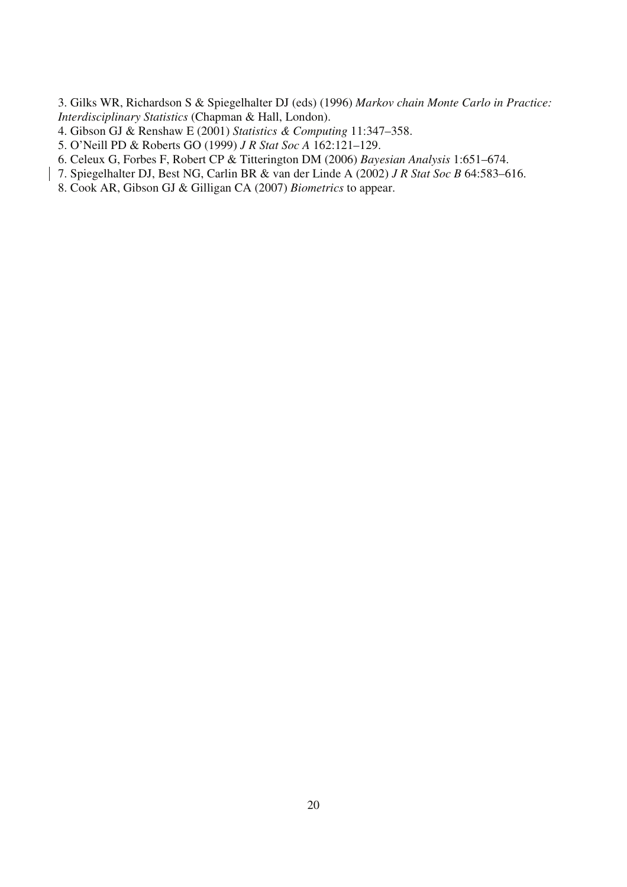3. Gilks WR, Richardson S & Spiegelhalter DJ (eds) (1996) *Markov chain Monte Carlo in Practice: Interdisciplinary Statistics* (Chapman & Hall, London).

- 4. Gibson GJ & Renshaw E (2001) *Statistics & Computing* 11:347–358.
- 5. O'Neill PD & Roberts GO (1999) *J R Stat Soc A* 162:121–129.
- 6. Celeux G, Forbes F, Robert CP & Titterington DM (2006) *Bayesian Analysis* 1:651–674.
- 7. Spiegelhalter DJ, Best NG, Carlin BR & van der Linde A (2002) *J R Stat Soc B* 64:583–616.
- 8. Cook AR, Gibson GJ & Gilligan CA (2007) *Biometrics* to appear.